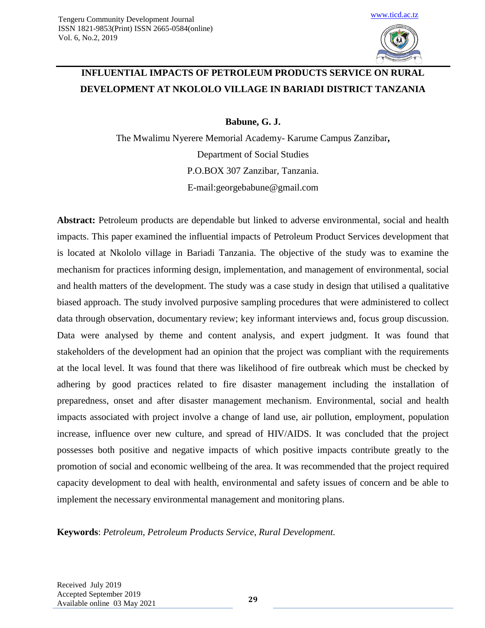

# **INFLUENTIAL IMPACTS OF PETROLEUM PRODUCTS SERVICE ON RURAL DEVELOPMENT AT NKOLOLO VILLAGE IN BARIADI DISTRICT TANZANIA**

**Babune, G. J.**

The Mwalimu Nyerere Memorial Academy- Karume Campus Zanzibar**,** Department of Social Studies P.O.BOX 307 Zanzibar, Tanzania. E-mail:georgebabune@gmail.com

**Abstract:** Petroleum products are dependable but linked to adverse environmental, social and health impacts. This paper examined the influential impacts of Petroleum Product Services development that is located at Nkololo village in Bariadi Tanzania. The objective of the study was to examine the mechanism for practices informing design, implementation, and management of environmental, social and health matters of the development. The study was a case study in design that utilised a qualitative biased approach. The study involved purposive sampling procedures that were administered to collect data through observation, documentary review; key informant interviews and, focus group discussion. Data were analysed by theme and content analysis, and expert judgment. It was found that stakeholders of the development had an opinion that the project was compliant with the requirements at the local level. It was found that there was likelihood of fire outbreak which must be checked by adhering by good practices related to fire disaster management including the installation of preparedness, onset and after disaster management mechanism. Environmental, social and health impacts associated with project involve a change of land use, air pollution, employment, population increase, influence over new culture, and spread of HIV/AIDS. It was concluded that the project possesses both positive and negative impacts of which positive impacts contribute greatly to the promotion of social and economic wellbeing of the area. It was recommended that the project required capacity development to deal with health, environmental and safety issues of concern and be able to implement the necessary environmental management and monitoring plans.

**Keywords**: *Petroleum, Petroleum Products Service, Rural Development.*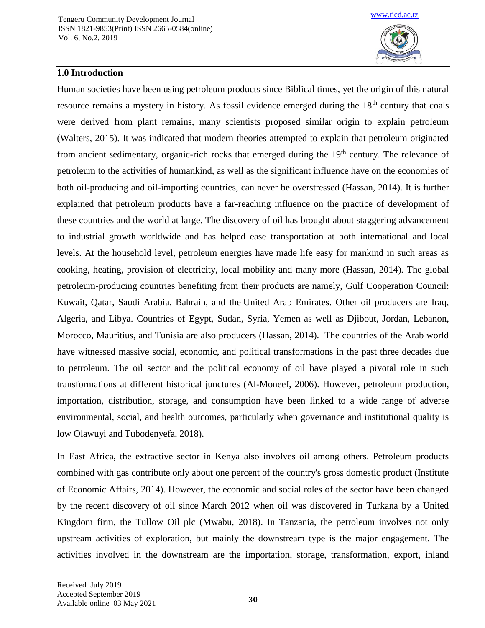

### **1.0 Introduction**

Human societies have been using petroleum products since Biblical times, yet the origin of this natural resource remains a mystery in history. As fossil evidence emerged during the 18<sup>th</sup> century that coals were derived from plant remains, many scientists proposed similar origin to explain petroleum (Walters, 2015). It was indicated that modern theories attempted to explain that petroleum originated from ancient sedimentary, organic-rich rocks that emerged during the 19<sup>th</sup> century. The relevance of petroleum to the activities of humankind, as well as the significant influence have on the economies of both oil-producing and oil-importing countries, can never be overstressed (Hassan, 2014). It is further explained that petroleum products have a far-reaching influence on the practice of development of these countries and the world at large. The discovery of oil has brought about staggering advancement to industrial growth worldwide and has helped ease transportation at both international and local levels. At the household level, petroleum energies have made life easy for mankind in such areas as cooking, heating, provision of electricity, local mobility and many more (Hassan, 2014). The global petroleum-producing countries benefiting from their products are namely, Gulf Cooperation Council: Kuwait, Qatar, Saudi Arabia, Bahrain, and the United Arab Emirates. Other oil producers are Iraq, Algeria, and Libya. Countries of Egypt, Sudan, Syria, Yemen as well as Djibout, Jordan, Lebanon, Morocco, Mauritius, and Tunisia are also producers (Hassan, 2014). The countries of the Arab world have witnessed massive social, economic, and political transformations in the past three decades due to petroleum. The oil sector and the political economy of oil have played a pivotal role in such transformations at different historical junctures (Al-Moneef, 2006). However, petroleum production, importation, distribution, storage, and consumption have been linked to a wide range of adverse environmental, social, and health outcomes, particularly when governance and institutional quality is low Olawuyi and Tubodenyefa, 2018).

In East Africa, the extractive sector in Kenya also involves oil among others. Petroleum products combined with gas contribute only about one percent of the country's gross domestic product (Institute of Economic Affairs, 2014). However, the economic and social roles of the sector have been changed by the recent discovery of oil since March 2012 when oil was discovered in Turkana by a United Kingdom firm, the Tullow Oil plc (Mwabu, 2018). In Tanzania, the petroleum involves not only upstream activities of exploration, but mainly the downstream type is the major engagement. The activities involved in the downstream are the importation, storage, transformation, export, inland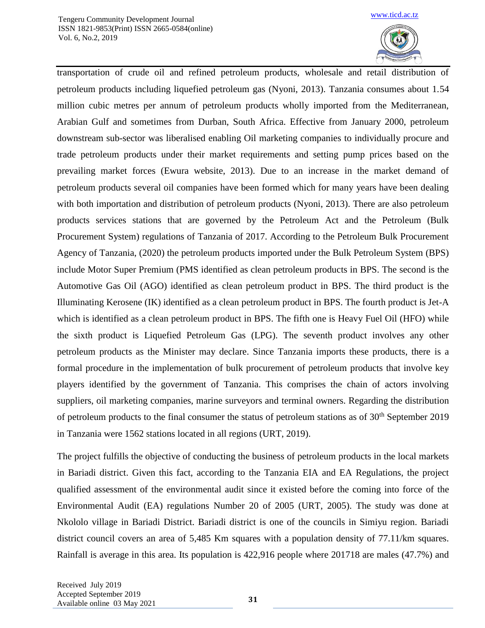

transportation of crude oil and refined petroleum products, wholesale and retail distribution of petroleum products including liquefied petroleum gas (Nyoni, 2013). Tanzania consumes about 1.54 million cubic metres per annum of petroleum products wholly imported from the Mediterranean, Arabian Gulf and sometimes from Durban, South Africa. Effective from January 2000, petroleum downstream sub-sector was liberalised enabling Oil marketing companies to individually procure and trade petroleum products under their market requirements and setting pump prices based on the prevailing market forces (Ewura website, 2013). Due to an increase in the market demand of petroleum products several oil companies have been formed which for many years have been dealing with both importation and distribution of petroleum products (Nyoni, 2013). There are also petroleum products services stations that are governed by the Petroleum Act and the Petroleum (Bulk Procurement System) regulations of Tanzania of 2017. According to the Petroleum Bulk Procurement Agency of Tanzania, (2020) the petroleum products imported under the Bulk Petroleum System (BPS) include Motor Super Premium (PMS identified as clean petroleum products in BPS. The second is the Automotive Gas Oil (AGO) identified as clean petroleum product in BPS. The third product is the Illuminating Kerosene (IK) identified as a clean petroleum product in BPS. The fourth product is Jet-A which is identified as a clean petroleum product in BPS. The fifth one is Heavy Fuel Oil (HFO) while the sixth product is Liquefied Petroleum Gas (LPG). The seventh product involves any other petroleum products as the Minister may declare. Since Tanzania imports these products, there is a formal procedure in the implementation of bulk procurement of petroleum products that involve key players identified by the government of Tanzania. This comprises the chain of actors involving suppliers, oil marketing companies, marine surveyors and terminal owners. Regarding the distribution of petroleum products to the final consumer the status of petroleum stations as of  $30<sup>th</sup>$  September 2019 in Tanzania were 1562 stations located in all regions (URT, 2019).

The project fulfills the objective of conducting the business of petroleum products in the local markets in Bariadi district. Given this fact, according to the Tanzania EIA and EA Regulations, the project qualified assessment of the environmental audit since it existed before the coming into force of the Environmental Audit (EA) regulations Number 20 of 2005 (URT, 2005). The study was done at Nkololo village in Bariadi District. Bariadi district is one of the councils in Simiyu region. Bariadi district council covers an area of 5,485 Km squares with a population density of 77.11/km squares. Rainfall is average in this area. Its population is 422,916 people where 201718 are males (47.7%) and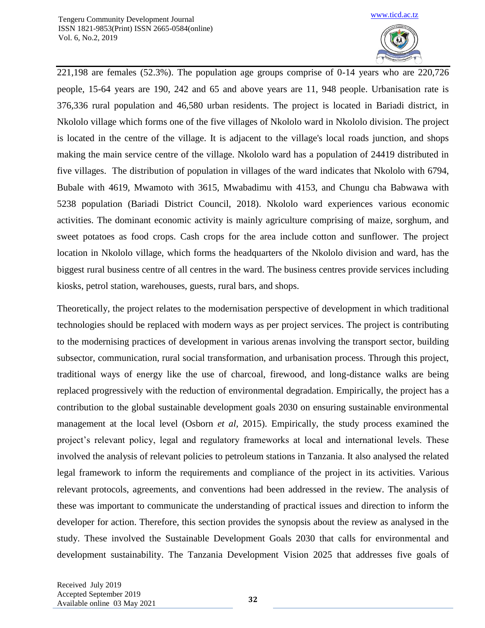

221,198 are females (52.3%). The population age groups comprise of 0-14 years who are 220,726 people, 15-64 years are 190, 242 and 65 and above years are 11, 948 people. Urbanisation rate is 376,336 rural population and 46,580 urban residents. The project is located in Bariadi district, in Nkololo village which forms one of the five villages of Nkololo ward in Nkololo division. The project is located in the centre of the village. It is adjacent to the village's local roads junction, and shops making the main service centre of the village. Nkololo ward has a population of 24419 distributed in five villages. The distribution of population in villages of the ward indicates that Nkololo with 6794, Bubale with 4619, Mwamoto with 3615, Mwabadimu with 4153, and Chungu cha Babwawa with 5238 population (Bariadi District Council, 2018). Nkololo ward experiences various economic activities. The dominant economic activity is mainly agriculture comprising of maize, sorghum, and sweet potatoes as food crops. Cash crops for the area include cotton and sunflower. The project location in Nkololo village, which forms the headquarters of the Nkololo division and ward, has the biggest rural business centre of all centres in the ward. The business centres provide services including kiosks, petrol station, warehouses, guests, rural bars, and shops.

Theoretically, the project relates to the modernisation perspective of development in which traditional technologies should be replaced with modern ways as per project services. The project is contributing to the modernising practices of development in various arenas involving the transport sector, building subsector, communication, rural social transformation, and urbanisation process. Through this project, traditional ways of energy like the use of charcoal, firewood, and long-distance walks are being replaced progressively with the reduction of environmental degradation. Empirically, the project has a contribution to the global sustainable development goals 2030 on ensuring sustainable environmental management at the local level (Osborn *et al,* 2015). Empirically, the study process examined the project's relevant policy, legal and regulatory frameworks at local and international levels. These involved the analysis of relevant policies to petroleum stations in Tanzania. It also analysed the related legal framework to inform the requirements and compliance of the project in its activities. Various relevant protocols, agreements, and conventions had been addressed in the review. The analysis of these was important to communicate the understanding of practical issues and direction to inform the developer for action. Therefore, this section provides the synopsis about the review as analysed in the study. These involved the Sustainable Development Goals 2030 that calls for environmental and development sustainability. The Tanzania Development Vision 2025 that addresses five goals of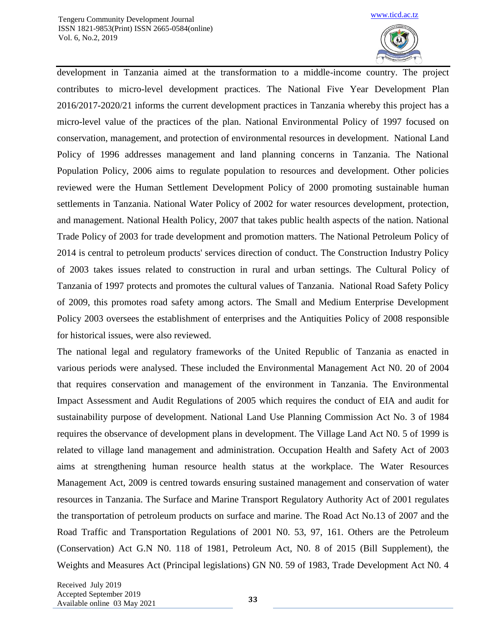

development in Tanzania aimed at the transformation to a middle-income country. The project contributes to micro-level development practices. The National Five Year Development Plan 2016/2017-2020/21 informs the current development practices in Tanzania whereby this project has a micro-level value of the practices of the plan. National Environmental Policy of 1997 focused on conservation, management, and protection of environmental resources in development. National Land Policy of 1996 addresses management and land planning concerns in Tanzania. The National Population Policy, 2006 aims to regulate population to resources and development. Other policies reviewed were the Human Settlement Development Policy of 2000 promoting sustainable human settlements in Tanzania. National Water Policy of 2002 for water resources development, protection, and management. National Health Policy, 2007 that takes public health aspects of the nation. National Trade Policy of 2003 for trade development and promotion matters. The National Petroleum Policy of 2014 is central to petroleum products' services direction of conduct. The Construction Industry Policy of 2003 takes issues related to construction in rural and urban settings. The Cultural Policy of Tanzania of 1997 protects and promotes the cultural values of Tanzania. National Road Safety Policy of 2009, this promotes road safety among actors. The Small and Medium Enterprise Development Policy 2003 oversees the establishment of enterprises and the Antiquities Policy of 2008 responsible for historical issues, were also reviewed.

The national legal and regulatory frameworks of the United Republic of Tanzania as enacted in various periods were analysed. These included the Environmental Management Act N0. 20 of 2004 that requires conservation and management of the environment in Tanzania. The Environmental Impact Assessment and Audit Regulations of 2005 which requires the conduct of EIA and audit for sustainability purpose of development. National Land Use Planning Commission Act No. 3 of 1984 requires the observance of development plans in development. The Village Land Act N0. 5 of 1999 is related to village land management and administration. Occupation Health and Safety Act of 2003 aims at strengthening human resource health status at the workplace. The Water Resources Management Act, 2009 is centred towards ensuring sustained management and conservation of water resources in Tanzania. The Surface and Marine Transport Regulatory Authority Act of 2001 regulates the transportation of petroleum products on surface and marine. The Road Act No.13 of 2007 and the Road Traffic and Transportation Regulations of 2001 N0. 53, 97, 161. Others are the Petroleum (Conservation) Act G.N N0. 118 of 1981, Petroleum Act, N0. 8 of 2015 (Bill Supplement), the Weights and Measures Act (Principal legislations) GN N0. 59 of 1983, Trade Development Act N0. 4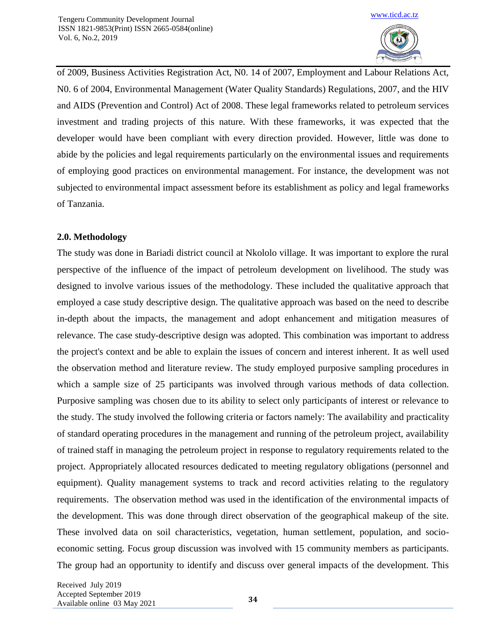

of 2009, Business Activities Registration Act, N0. 14 of 2007, Employment and Labour Relations Act, N0. 6 of 2004, Environmental Management (Water Quality Standards) Regulations, 2007, and the HIV and AIDS (Prevention and Control) Act of 2008. These legal frameworks related to petroleum services investment and trading projects of this nature. With these frameworks, it was expected that the developer would have been compliant with every direction provided. However, little was done to abide by the policies and legal requirements particularly on the environmental issues and requirements of employing good practices on environmental management. For instance, the development was not subjected to environmental impact assessment before its establishment as policy and legal frameworks of Tanzania.

# **2.0. Methodology**

The study was done in Bariadi district council at Nkololo village. It was important to explore the rural perspective of the influence of the impact of petroleum development on livelihood. The study was designed to involve various issues of the methodology. These included the qualitative approach that employed a case study descriptive design. The qualitative approach was based on the need to describe in-depth about the impacts, the management and adopt enhancement and mitigation measures of relevance. The case study-descriptive design was adopted. This combination was important to address the project's context and be able to explain the issues of concern and interest inherent. It as well used the observation method and literature review. The study employed purposive sampling procedures in which a sample size of 25 participants was involved through various methods of data collection. Purposive sampling was chosen due to its ability to select only participants of interest or relevance to the study. The study involved the following criteria or factors namely: The availability and practicality of standard operating procedures in the management and running of the petroleum project, availability of trained staff in managing the petroleum project in response to regulatory requirements related to the project. Appropriately allocated resources dedicated to meeting regulatory obligations (personnel and equipment). Quality management systems to track and record activities relating to the regulatory requirements. The observation method was used in the identification of the environmental impacts of the development. This was done through direct observation of the geographical makeup of the site. These involved data on soil characteristics, vegetation, human settlement, population, and socioeconomic setting. Focus group discussion was involved with 15 community members as participants. The group had an opportunity to identify and discuss over general impacts of the development. This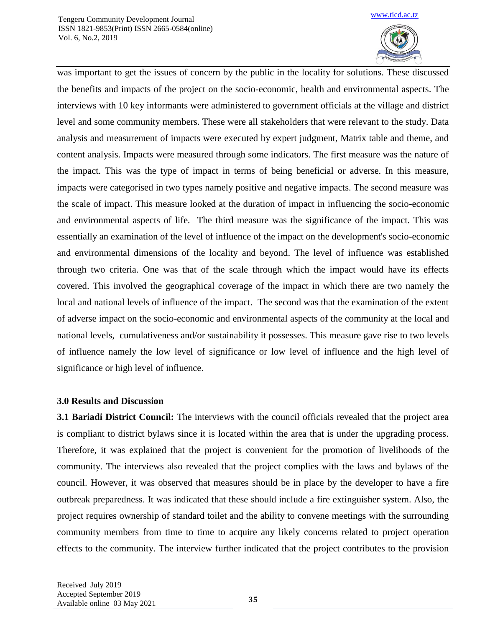

was important to get the issues of concern by the public in the locality for solutions. These discussed the benefits and impacts of the project on the socio-economic, health and environmental aspects. The interviews with 10 key informants were administered to government officials at the village and district level and some community members. These were all stakeholders that were relevant to the study. Data analysis and measurement of impacts were executed by expert judgment, Matrix table and theme, and content analysis. Impacts were measured through some indicators. The first measure was the nature of the impact. This was the type of impact in terms of being beneficial or adverse. In this measure, impacts were categorised in two types namely positive and negative impacts. The second measure was the scale of impact. This measure looked at the duration of impact in influencing the socio-economic and environmental aspects of life. The third measure was the significance of the impact. This was essentially an examination of the level of influence of the impact on the development's socio-economic and environmental dimensions of the locality and beyond. The level of influence was established through two criteria. One was that of the scale through which the impact would have its effects covered. This involved the geographical coverage of the impact in which there are two namely the local and national levels of influence of the impact. The second was that the examination of the extent of adverse impact on the socio-economic and environmental aspects of the community at the local and national levels, cumulativeness and/or sustainability it possesses. This measure gave rise to two levels of influence namely the low level of significance or low level of influence and the high level of significance or high level of influence.

# **3.0 Results and Discussion**

**3.1 Bariadi District Council:** The interviews with the council officials revealed that the project area is compliant to district bylaws since it is located within the area that is under the upgrading process. Therefore, it was explained that the project is convenient for the promotion of livelihoods of the community. The interviews also revealed that the project complies with the laws and bylaws of the council. However, it was observed that measures should be in place by the developer to have a fire outbreak preparedness. It was indicated that these should include a fire extinguisher system. Also, the project requires ownership of standard toilet and the ability to convene meetings with the surrounding community members from time to time to acquire any likely concerns related to project operation effects to the community. The interview further indicated that the project contributes to the provision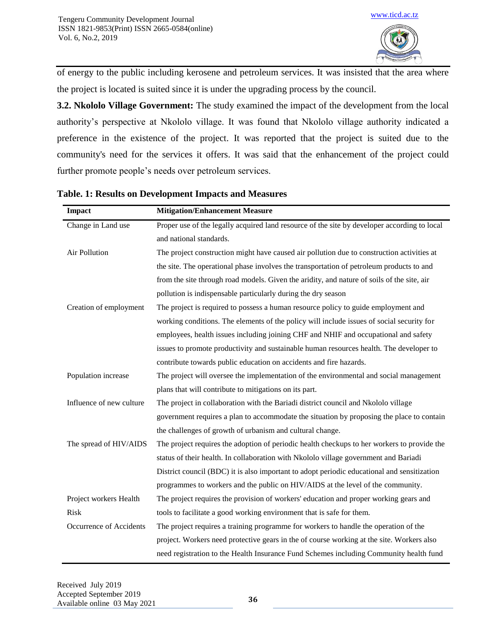

of energy to the public including kerosene and petroleum services. It was insisted that the area where the project is located is suited since it is under the upgrading process by the council.

**3.2. Nkololo Village Government:** The study examined the impact of the development from the local authority's perspective at Nkololo village. It was found that Nkololo village authority indicated a preference in the existence of the project. It was reported that the project is suited due to the community's need for the services it offers. It was said that the enhancement of the project could further promote people's needs over petroleum services.

| <b>Impact</b>            | <b>Mitigation/Enhancement Measure</b>                                                        |
|--------------------------|----------------------------------------------------------------------------------------------|
| Change in Land use       | Proper use of the legally acquired land resource of the site by developer according to local |
|                          | and national standards.                                                                      |
| Air Pollution            | The project construction might have caused air pollution due to construction activities at   |
|                          | the site. The operational phase involves the transportation of petroleum products to and     |
|                          | from the site through road models. Given the aridity, and nature of soils of the site, air   |
|                          | pollution is indispensable particularly during the dry season                                |
| Creation of employment   | The project is required to possess a human resource policy to guide employment and           |
|                          | working conditions. The elements of the policy will include issues of social security for    |
|                          | employees, health issues including joining CHF and NHIF and occupational and safety          |
|                          | issues to promote productivity and sustainable human resources health. The developer to      |
|                          | contribute towards public education on accidents and fire hazards.                           |
| Population increase      | The project will oversee the implementation of the environmental and social management       |
|                          | plans that will contribute to mitigations on its part.                                       |
| Influence of new culture | The project in collaboration with the Bariadi district council and Nkololo village           |
|                          | government requires a plan to accommodate the situation by proposing the place to contain    |
|                          | the challenges of growth of urbanism and cultural change.                                    |
| The spread of HIV/AIDS   | The project requires the adoption of periodic health checkups to her workers to provide the  |
|                          | status of their health. In collaboration with Nkololo village government and Bariadi         |
|                          | District council (BDC) it is also important to adopt periodic educational and sensitization  |
|                          | programmes to workers and the public on HIV/AIDS at the level of the community.              |
| Project workers Health   | The project requires the provision of workers' education and proper working gears and        |
| <b>Risk</b>              | tools to facilitate a good working environment that is safe for them.                        |
| Occurrence of Accidents  | The project requires a training programme for workers to handle the operation of the         |
|                          | project. Workers need protective gears in the of course working at the site. Workers also    |
|                          | need registration to the Health Insurance Fund Schemes including Community health fund       |

**Table. 1: Results on Development Impacts and Measures**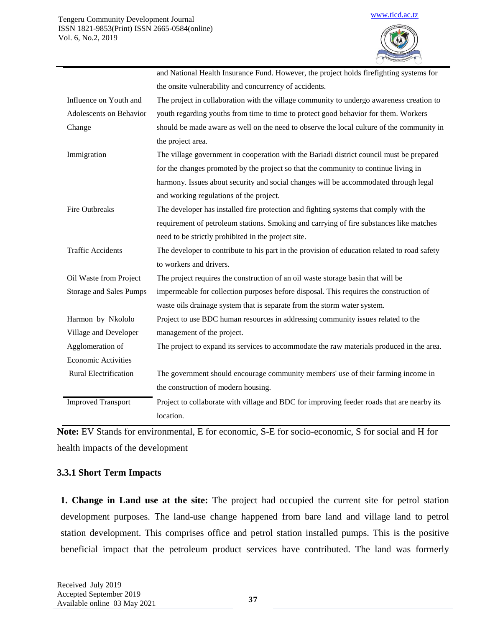|                                | and National Health Insurance Fund. However, the project holds firefighting systems for      |
|--------------------------------|----------------------------------------------------------------------------------------------|
|                                | the onsite vulnerability and concurrency of accidents.                                       |
| Influence on Youth and         | The project in collaboration with the village community to undergo awareness creation to     |
| Adolescents on Behavior        | youth regarding youths from time to time to protect good behavior for them. Workers          |
| Change                         | should be made aware as well on the need to observe the local culture of the community in    |
|                                | the project area.                                                                            |
| Immigration                    | The village government in cooperation with the Bariadi district council must be prepared     |
|                                | for the changes promoted by the project so that the community to continue living in          |
|                                | harmony. Issues about security and social changes will be accommodated through legal         |
|                                | and working regulations of the project.                                                      |
| <b>Fire Outbreaks</b>          | The developer has installed fire protection and fighting systems that comply with the        |
|                                | requirement of petroleum stations. Smoking and carrying of fire substances like matches      |
|                                | need to be strictly prohibited in the project site.                                          |
| <b>Traffic Accidents</b>       | The developer to contribute to his part in the provision of education related to road safety |
|                                | to workers and drivers.                                                                      |
| Oil Waste from Project         | The project requires the construction of an oil waste storage basin that will be             |
| <b>Storage and Sales Pumps</b> | impermeable for collection purposes before disposal. This requires the construction of       |
|                                | waste oils drainage system that is separate from the storm water system.                     |
| Harmon by Nkololo              | Project to use BDC human resources in addressing community issues related to the             |
| Village and Developer          | management of the project.                                                                   |
| Agglomeration of               | The project to expand its services to accommodate the raw materials produced in the area.    |
| <b>Economic Activities</b>     |                                                                                              |
| Rural Electrification          | The government should encourage community members' use of their farming income in            |
|                                | the construction of modern housing.                                                          |
| <b>Improved Transport</b>      | Project to collaborate with village and BDC for improving feeder roads that are nearby its   |
|                                | location.                                                                                    |
|                                |                                                                                              |

**Note:** EV Stands for environmental, E for economic, S-E for socio-economic, S for social and H for health impacts of the development

#### **3.3.1 Short Term Impacts**

 **1. Change in Land use at the site:** The project had occupied the current site for petrol station development purposes. The land-use change happened from bare land and village land to petrol station development. This comprises office and petrol station installed pumps. This is the positive beneficial impact that the petroleum product services have contributed. The land was formerly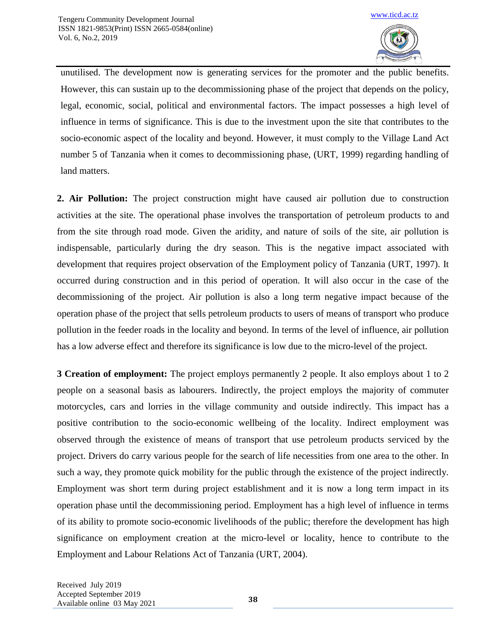

unutilised. The development now is generating services for the promoter and the public benefits. However, this can sustain up to the decommissioning phase of the project that depends on the policy, legal, economic, social, political and environmental factors. The impact possesses a high level of influence in terms of significance. This is due to the investment upon the site that contributes to the socio-economic aspect of the locality and beyond. However, it must comply to the Village Land Act number 5 of Tanzania when it comes to decommissioning phase, (URT, 1999) regarding handling of land matters.

**2. Air Pollution:** The project construction might have caused air pollution due to construction activities at the site. The operational phase involves the transportation of petroleum products to and from the site through road mode. Given the aridity, and nature of soils of the site, air pollution is indispensable, particularly during the dry season. This is the negative impact associated with development that requires project observation of the Employment policy of Tanzania (URT, 1997). It occurred during construction and in this period of operation. It will also occur in the case of the decommissioning of the project. Air pollution is also a long term negative impact because of the operation phase of the project that sells petroleum products to users of means of transport who produce pollution in the feeder roads in the locality and beyond. In terms of the level of influence, air pollution has a low adverse effect and therefore its significance is low due to the micro-level of the project.

**3 Creation of employment:** The project employs permanently 2 people. It also employs about 1 to 2 people on a seasonal basis as labourers. Indirectly, the project employs the majority of commuter motorcycles, cars and lorries in the village community and outside indirectly. This impact has a positive contribution to the socio-economic wellbeing of the locality. Indirect employment was observed through the existence of means of transport that use petroleum products serviced by the project. Drivers do carry various people for the search of life necessities from one area to the other. In such a way, they promote quick mobility for the public through the existence of the project indirectly. Employment was short term during project establishment and it is now a long term impact in its operation phase until the decommissioning period. Employment has a high level of influence in terms of its ability to promote socio-economic livelihoods of the public; therefore the development has high significance on employment creation at the micro-level or locality, hence to contribute to the Employment and Labour Relations Act of Tanzania (URT, 2004).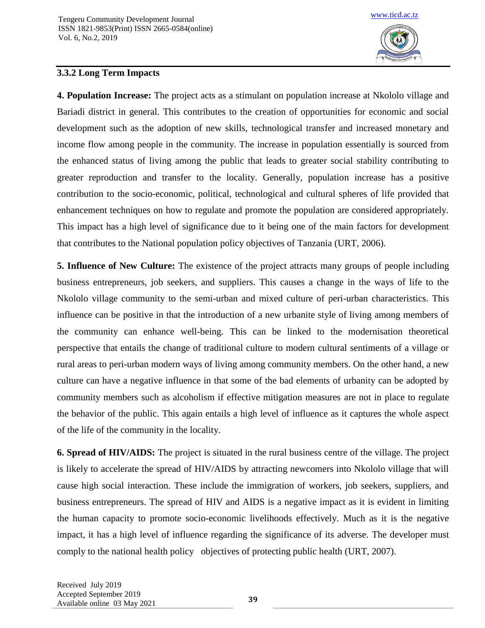

# **3.3.2 Long Term Impacts**

**4. Population Increase:** The project acts as a stimulant on population increase at Nkololo village and Bariadi district in general. This contributes to the creation of opportunities for economic and social development such as the adoption of new skills, technological transfer and increased monetary and income flow among people in the community. The increase in population essentially is sourced from the enhanced status of living among the public that leads to greater social stability contributing to greater reproduction and transfer to the locality. Generally, population increase has a positive contribution to the socio-economic, political, technological and cultural spheres of life provided that enhancement techniques on how to regulate and promote the population are considered appropriately. This impact has a high level of significance due to it being one of the main factors for development that contributes to the National population policy objectives of Tanzania (URT, 2006).

**5. Influence of New Culture:** The existence of the project attracts many groups of people including business entrepreneurs, job seekers, and suppliers. This causes a change in the ways of life to the Nkololo village community to the semi-urban and mixed culture of peri-urban characteristics. This influence can be positive in that the introduction of a new urbanite style of living among members of the community can enhance well-being. This can be linked to the modernisation theoretical perspective that entails the change of traditional culture to modern cultural sentiments of a village or rural areas to peri-urban modern ways of living among community members. On the other hand, a new culture can have a negative influence in that some of the bad elements of urbanity can be adopted by community members such as alcoholism if effective mitigation measures are not in place to regulate the behavior of the public. This again entails a high level of influence as it captures the whole aspect of the life of the community in the locality.

**6. Spread of HIV/AIDS:** The project is situated in the rural business centre of the village. The project is likely to accelerate the spread of HIV/AIDS by attracting newcomers into Nkololo village that will cause high social interaction. These include the immigration of workers, job seekers, suppliers, and business entrepreneurs. The spread of HIV and AIDS is a negative impact as it is evident in limiting the human capacity to promote socio-economic livelihoods effectively. Much as it is the negative impact, it has a high level of influence regarding the significance of its adverse. The developer must comply to the national health policy objectives of protecting public health (URT, 2007).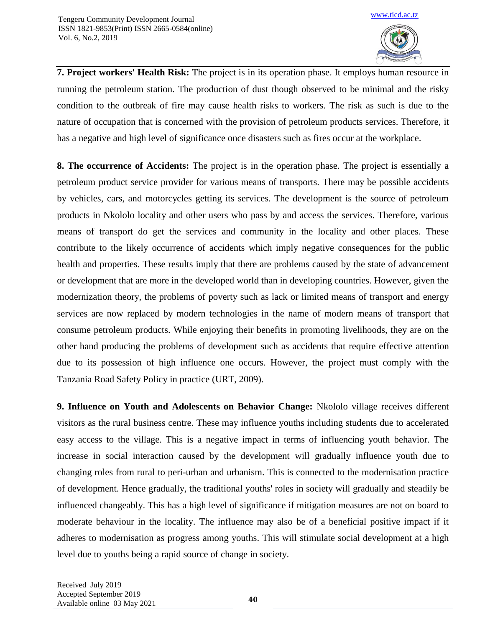

**7. Project workers' Health Risk:** The project is in its operation phase. It employs human resource in running the petroleum station. The production of dust though observed to be minimal and the risky condition to the outbreak of fire may cause health risks to workers. The risk as such is due to the nature of occupation that is concerned with the provision of petroleum products services. Therefore, it has a negative and high level of significance once disasters such as fires occur at the workplace.

**8. The occurrence of Accidents:** The project is in the operation phase. The project is essentially a petroleum product service provider for various means of transports. There may be possible accidents by vehicles, cars, and motorcycles getting its services. The development is the source of petroleum products in Nkololo locality and other users who pass by and access the services. Therefore, various means of transport do get the services and community in the locality and other places. These contribute to the likely occurrence of accidents which imply negative consequences for the public health and properties. These results imply that there are problems caused by the state of advancement or development that are more in the developed world than in developing countries. However, given the modernization theory, the problems of poverty such as lack or limited means of transport and energy services are now replaced by modern technologies in the name of modern means of transport that consume petroleum products. While enjoying their benefits in promoting livelihoods, they are on the other hand producing the problems of development such as accidents that require effective attention due to its possession of high influence one occurs. However, the project must comply with the Tanzania Road Safety Policy in practice (URT, 2009).

**9. Influence on Youth and Adolescents on Behavior Change:** Nkololo village receives different visitors as the rural business centre. These may influence youths including students due to accelerated easy access to the village. This is a negative impact in terms of influencing youth behavior. The increase in social interaction caused by the development will gradually influence youth due to changing roles from rural to peri-urban and urbanism. This is connected to the modernisation practice of development. Hence gradually, the traditional youths' roles in society will gradually and steadily be influenced changeably. This has a high level of significance if mitigation measures are not on board to moderate behaviour in the locality. The influence may also be of a beneficial positive impact if it adheres to modernisation as progress among youths. This will stimulate social development at a high level due to youths being a rapid source of change in society.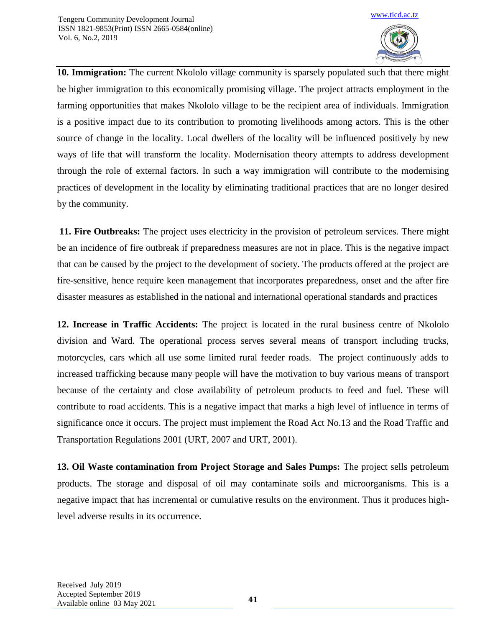

**10. Immigration:** The current Nkololo village community is sparsely populated such that there might be higher immigration to this economically promising village. The project attracts employment in the farming opportunities that makes Nkololo village to be the recipient area of individuals. Immigration is a positive impact due to its contribution to promoting livelihoods among actors. This is the other source of change in the locality. Local dwellers of the locality will be influenced positively by new ways of life that will transform the locality. Modernisation theory attempts to address development through the role of external factors. In such a way immigration will contribute to the modernising practices of development in the locality by eliminating traditional practices that are no longer desired by the community.

**11. Fire Outbreaks:** The project uses electricity in the provision of petroleum services. There might be an incidence of fire outbreak if preparedness measures are not in place. This is the negative impact that can be caused by the project to the development of society. The products offered at the project are fire-sensitive, hence require keen management that incorporates preparedness, onset and the after fire disaster measures as established in the national and international operational standards and practices

**12. Increase in Traffic Accidents:** The project is located in the rural business centre of Nkololo division and Ward. The operational process serves several means of transport including trucks, motorcycles, cars which all use some limited rural feeder roads. The project continuously adds to increased trafficking because many people will have the motivation to buy various means of transport because of the certainty and close availability of petroleum products to feed and fuel. These will contribute to road accidents. This is a negative impact that marks a high level of influence in terms of significance once it occurs. The project must implement the Road Act No.13 and the Road Traffic and Transportation Regulations 2001 (URT, 2007 and URT, 2001).

**13. Oil Waste contamination from Project Storage and Sales Pumps:** The project sells petroleum products. The storage and disposal of oil may contaminate soils and microorganisms. This is a negative impact that has incremental or cumulative results on the environment. Thus it produces highlevel adverse results in its occurrence.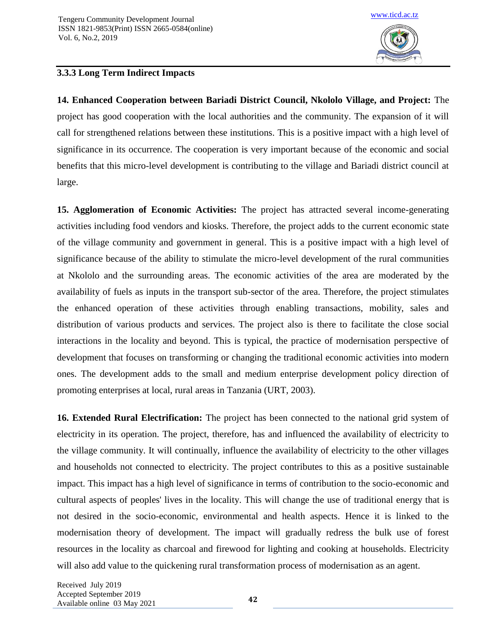

# **3.3.3 Long Term Indirect Impacts**

**14. Enhanced Cooperation between Bariadi District Council, Nkololo Village, and Project:** The project has good cooperation with the local authorities and the community. The expansion of it will call for strengthened relations between these institutions. This is a positive impact with a high level of significance in its occurrence. The cooperation is very important because of the economic and social benefits that this micro-level development is contributing to the village and Bariadi district council at large.

**15. Agglomeration of Economic Activities:** The project has attracted several income-generating activities including food vendors and kiosks. Therefore, the project adds to the current economic state of the village community and government in general. This is a positive impact with a high level of significance because of the ability to stimulate the micro-level development of the rural communities at Nkololo and the surrounding areas. The economic activities of the area are moderated by the availability of fuels as inputs in the transport sub-sector of the area. Therefore, the project stimulates the enhanced operation of these activities through enabling transactions, mobility, sales and distribution of various products and services. The project also is there to facilitate the close social interactions in the locality and beyond. This is typical, the practice of modernisation perspective of development that focuses on transforming or changing the traditional economic activities into modern ones. The development adds to the small and medium enterprise development policy direction of promoting enterprises at local, rural areas in Tanzania (URT, 2003).

**16. Extended Rural Electrification:** The project has been connected to the national grid system of electricity in its operation. The project, therefore, has and influenced the availability of electricity to the village community. It will continually, influence the availability of electricity to the other villages and households not connected to electricity. The project contributes to this as a positive sustainable impact. This impact has a high level of significance in terms of contribution to the socio-economic and cultural aspects of peoples' lives in the locality. This will change the use of traditional energy that is not desired in the socio-economic, environmental and health aspects. Hence it is linked to the modernisation theory of development. The impact will gradually redress the bulk use of forest resources in the locality as charcoal and firewood for lighting and cooking at households. Electricity will also add value to the quickening rural transformation process of modernisation as an agent.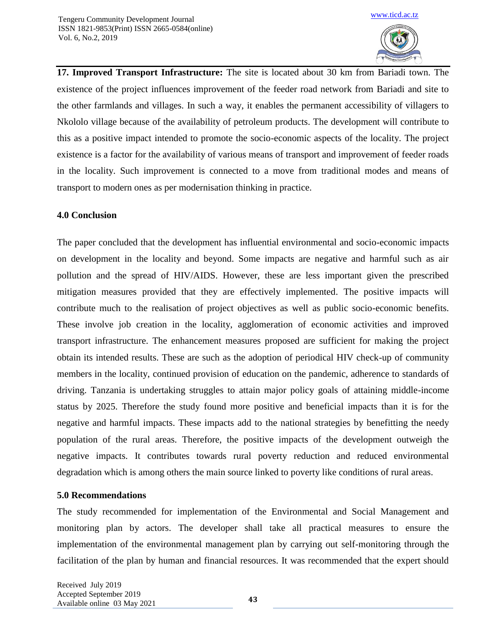

**17. Improved Transport Infrastructure:** The site is located about 30 km from Bariadi town. The existence of the project influences improvement of the feeder road network from Bariadi and site to the other farmlands and villages. In such a way, it enables the permanent accessibility of villagers to Nkololo village because of the availability of petroleum products. The development will contribute to this as a positive impact intended to promote the socio-economic aspects of the locality. The project existence is a factor for the availability of various means of transport and improvement of feeder roads in the locality. Such improvement is connected to a move from traditional modes and means of transport to modern ones as per modernisation thinking in practice.

### **4.0 Conclusion**

The paper concluded that the development has influential environmental and socio-economic impacts on development in the locality and beyond. Some impacts are negative and harmful such as air pollution and the spread of HIV/AIDS. However, these are less important given the prescribed mitigation measures provided that they are effectively implemented. The positive impacts will contribute much to the realisation of project objectives as well as public socio-economic benefits. These involve job creation in the locality, agglomeration of economic activities and improved transport infrastructure. The enhancement measures proposed are sufficient for making the project obtain its intended results. These are such as the adoption of periodical HIV check-up of community members in the locality, continued provision of education on the pandemic, adherence to standards of driving. Tanzania is undertaking struggles to attain major policy goals of attaining middle-income status by 2025. Therefore the study found more positive and beneficial impacts than it is for the negative and harmful impacts. These impacts add to the national strategies by benefitting the needy population of the rural areas. Therefore, the positive impacts of the development outweigh the negative impacts. It contributes towards rural poverty reduction and reduced environmental degradation which is among others the main source linked to poverty like conditions of rural areas.

# **5.0 Recommendations**

The study recommended for implementation of the Environmental and Social Management and monitoring plan by actors. The developer shall take all practical measures to ensure the implementation of the environmental management plan by carrying out self-monitoring through the facilitation of the plan by human and financial resources. It was recommended that the expert should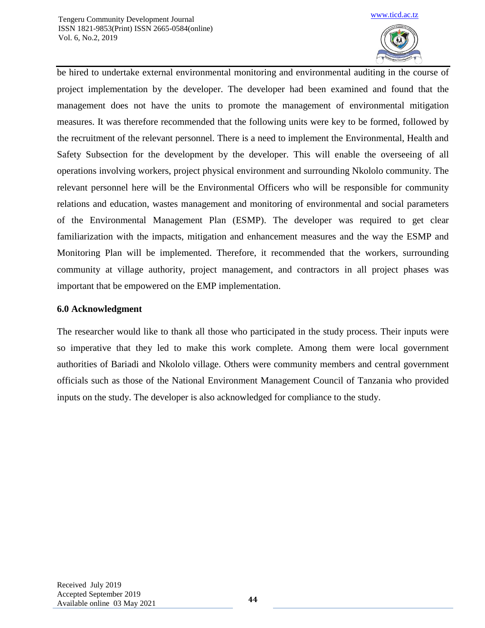

be hired to undertake external environmental monitoring and environmental auditing in the course of project implementation by the developer. The developer had been examined and found that the management does not have the units to promote the management of environmental mitigation measures. It was therefore recommended that the following units were key to be formed, followed by the recruitment of the relevant personnel. There is a need to implement the Environmental, Health and Safety Subsection for the development by the developer. This will enable the overseeing of all operations involving workers, project physical environment and surrounding Nkololo community. The relevant personnel here will be the Environmental Officers who will be responsible for community relations and education, wastes management and monitoring of environmental and social parameters of the Environmental Management Plan (ESMP). The developer was required to get clear familiarization with the impacts, mitigation and enhancement measures and the way the ESMP and Monitoring Plan will be implemented. Therefore, it recommended that the workers, surrounding community at village authority, project management, and contractors in all project phases was important that be empowered on the EMP implementation.

# **6.0 Acknowledgment**

The researcher would like to thank all those who participated in the study process. Their inputs were so imperative that they led to make this work complete. Among them were local government authorities of Bariadi and Nkololo village. Others were community members and central government officials such as those of the National Environment Management Council of Tanzania who provided inputs on the study. The developer is also acknowledged for compliance to the study.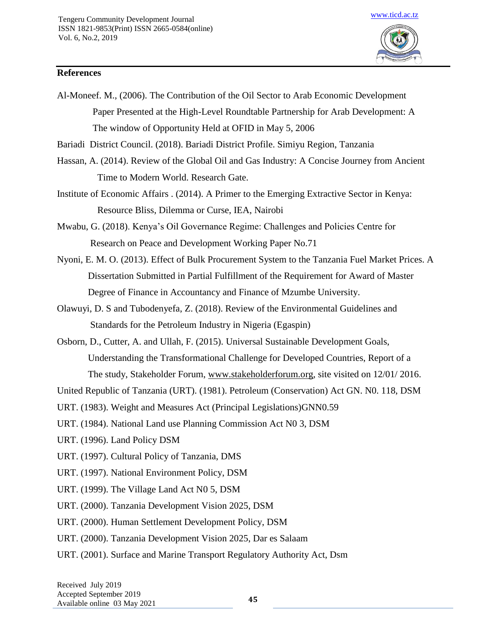

Al-Moneef. M., (2006). The Contribution of the Oil Sector to Arab Economic Development Paper Presented at the High-Level Roundtable Partnership for Arab Development: A The window of Opportunity Held at OFID in May 5, 2006

[www.ticd.ac.tz](http://www.ticd.ac.tz/)

Bariadi District Council. (2018). Bariadi District Profile. Simiyu Region, Tanzania

- Hassan, A. (2014). Review of the Global Oil and Gas Industry: A Concise Journey from Ancient Time to Modern World. Research Gate.
- Institute of Economic Affairs . (2014). A Primer to the Emerging Extractive Sector in Kenya: Resource Bliss, Dilemma or Curse, IEA, Nairobi

Mwabu, G. (2018). Kenya's Oil Governance Regime: Challenges and Policies Centre for Research on Peace and Development Working Paper No.71

- Nyoni, E. M. O. (2013). Effect of Bulk Procurement System to the Tanzania Fuel Market Prices. A Dissertation Submitted in Partial Fulfillment of the Requirement for Award of Master Degree of Finance in Accountancy and Finance of Mzumbe University.
- Olawuyi, D. S and Tubodenyefa, Z. (2018). Review of the Environmental Guidelines and Standards for the Petroleum Industry in Nigeria (Egaspin)

Osborn, D., Cutter, A. and Ullah, F. (2015). Universal Sustainable Development Goals, Understanding the Transformational Challenge for Developed Countries, Report of a

The study, Stakeholder Forum, [www.stakeholderforum.org,](http://www.stakeholderforum.org/) site visited on 12/01/ 2016.

United Republic of Tanzania (URT). (1981). Petroleum (Conservation) Act GN. N0. 118, DSM

URT. (1983). Weight and Measures Act (Principal Legislations)GNN0.59

URT. (1984). National Land use Planning Commission Act N0 3, DSM

- URT. (1996). Land Policy DSM
- URT. (1997). Cultural Policy of Tanzania, DMS
- URT. (1997). National Environment Policy, DSM
- URT. (1999). The Village Land Act N0 5, DSM

URT. (2000). Tanzania Development Vision 2025, DSM

- URT. (2000). Human Settlement Development Policy, DSM
- URT. (2000). Tanzania Development Vision 2025, Dar es Salaam
- URT. (2001). Surface and Marine Transport Regulatory Authority Act, Dsm